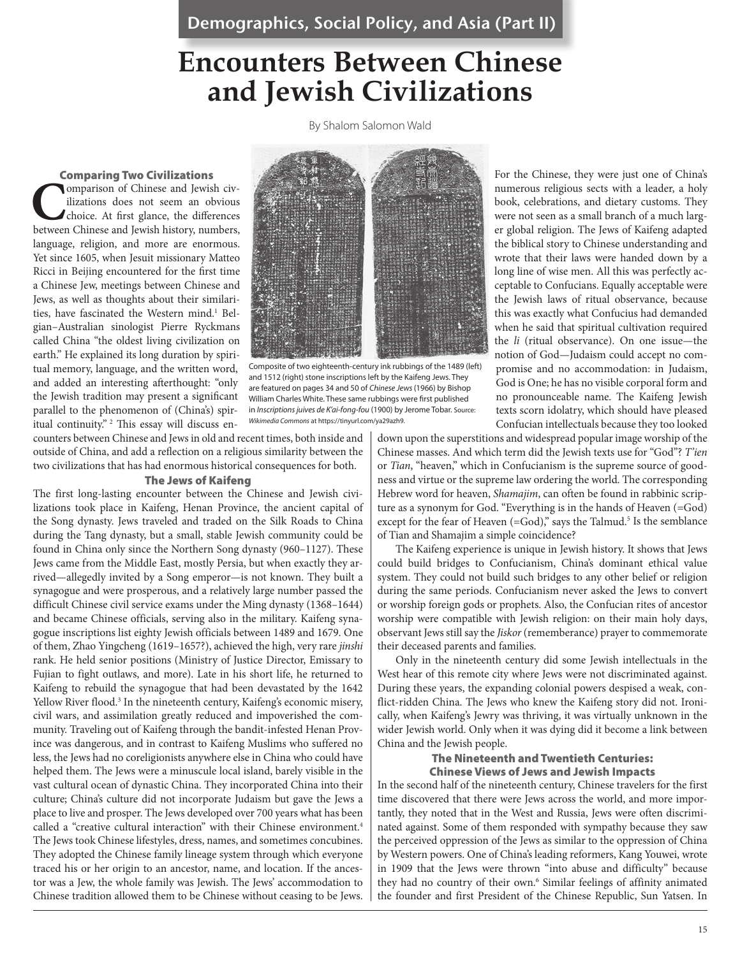Demographics, Social Policy, and Asia (Part II)

# **Encounters Between Chinese and Jewish Civilizations**

By Shalom Salomon Wald

#### Comparing Two Civilizations

**Comparison of Chinese and Jewish civilizations does not seem an obvious choice. At first glance, the differences between Chinese and Jewish history, numbers,** ilizations does not seem an obvious choice. At first glance, the differences language, religion, and more are enormous. Yet since 1605, when Jesuit missionary Matteo Ricci in Beijing encountered for the first time a Chinese Jew, meetings between Chinese and Jews, as well as thoughts about their similarities, have fascinated the Western mind.<sup>1</sup> Belgian–Australian sinologist Pierre Ryckmans called China "the oldest living civilization on earth." He explained its long duration by spiritual memory, language, and the written word, and added an interesting afterthought: "only the Jewish tradition may present a significant parallel to the phenomenon of (China's) spiritual continuity." <sup>2</sup> This essay will discuss en-



Composite of two eighteenth-century ink rubbings of the 1489 (left) and 1512 (right) stone inscriptions left by the Kaifeng Jews. They are featured on pages 34 and 50 of *Chinese Jews* (1966) by Bishop William Charles White. These same rubbings were first published in *Inscriptions juives de K'ai-fong-fou* (1900) by Jerome Tobar. Source: *Wikimedia Commons* at https://tinyurl.com/ya29azh9.

counters between Chinese and Jews in old and recent times, both inside and outside of China, and add a reflection on a religious similarity between the two civilizations that has had enormous historical consequences for both.

#### The Jews of Kaifeng

The first long-lasting encounter between the Chinese and Jewish civilizations took place in Kaifeng, Henan Province, the ancient capital of the Song dynasty. Jews traveled and traded on the Silk Roads to China during the Tang dynasty, but a small, stable Jewish community could be found in China only since the Northern Song dynasty (960–1127). These Jews came from the Middle East, mostly Persia, but when exactly they arrived—allegedly invited by a Song emperor—is not known. They built a synagogue and were prosperous, and a relatively large number passed the difficult Chinese civil service exams under the Ming dynasty (1368–1644) and became Chinese officials, serving also in the military. Kaifeng synagogue inscriptions list eighty Jewish officials between 1489 and 1679. One of them, Zhao Yingcheng (1619–1657?), achieved the high, very rare *jinshi*  rank. He held senior positions (Ministry of Justice Director, Emissary to Fujian to fight outlaws, and more). Late in his short life, he returned to Kaifeng to rebuild the synagogue that had been devastated by the 1642 Yellow River flood.<sup>3</sup> In the nineteenth century, Kaifeng's economic misery, civil wars, and assimilation greatly reduced and impoverished the community. Traveling out of Kaifeng through the bandit-infested Henan Province was dangerous, and in contrast to Kaifeng Muslims who suffered no less, the Jews had no coreligionists anywhere else in China who could have helped them. The Jews were a minuscule local island, barely visible in the vast cultural ocean of dynastic China. They incorporated China into their culture; China's culture did not incorporate Judaism but gave the Jews a place to live and prosper. The Jews developed over 700 years what has been called a "creative cultural interaction" with their Chinese environment.<sup>4</sup> The Jews took Chinese lifestyles, dress, names, and sometimes concubines. They adopted the Chinese family lineage system through which everyone traced his or her origin to an ancestor, name, and location. If the ancestor was a Jew, the whole family was Jewish. The Jews' accommodation to Chinese tradition allowed them to be Chinese without ceasing to be Jews.

For the Chinese, they were just one of China's numerous religious sects with a leader, a holy book, celebrations, and dietary customs. They were not seen as a small branch of a much larger global religion. The Jews of Kaifeng adapted the biblical story to Chinese understanding and wrote that their laws were handed down by a long line of wise men. All this was perfectly acceptable to Confucians. Equally acceptable were the Jewish laws of ritual observance, because this was exactly what Confucius had demanded when he said that spiritual cultivation required the *li* (ritual observance). On one issue—the notion of God—Judaism could accept no compromise and no accommodation: in Judaism, God is One; he has no visible corporal form and no pronounceable name. The Kaifeng Jewish texts scorn idolatry, which should have pleased Confucian intellectuals because they too looked

down upon the superstitions and widespread popular image worship of the Chinese masses. And which term did the Jewish texts use for "God"? *T'ien* or *Tian*, "heaven," which in Confucianism is the supreme source of goodness and virtue or the supreme law ordering the world. The corresponding Hebrew word for heaven, *Shamajim*, can often be found in rabbinic scripture as a synonym for God. "Everything is in the hands of Heaven (=God) except for the fear of Heaven (=God)," says the Talmud.<sup>5</sup> Is the semblance of Tian and Shamajim a simple coincidence?

The Kaifeng experience is unique in Jewish history. It shows that Jews could build bridges to Confucianism, China's dominant ethical value system. They could not build such bridges to any other belief or religion during the same periods. Confucianism never asked the Jews to convert or worship foreign gods or prophets. Also, the Confucian rites of ancestor worship were compatible with Jewish religion: on their main holy days, observant Jews still say the *Jiskor* (rememberance) prayer to commemorate their deceased parents and families.

Only in the nineteenth century did some Jewish intellectuals in the West hear of this remote city where Jews were not discriminated against. During these years, the expanding colonial powers despised a weak, conflict-ridden China. The Jews who knew the Kaifeng story did not. Ironically, when Kaifeng's Jewry was thriving, it was virtually unknown in the wider Jewish world. Only when it was dying did it become a link between China and the Jewish people.

#### The Nineteenth and Twentieth Centuries: Chinese Views of Jews and Jewish Impacts

In the second half of the nineteenth century, Chinese travelers for the first time discovered that there were Jews across the world, and more importantly, they noted that in the West and Russia, Jews were often discriminated against. Some of them responded with sympathy because they saw the perceived oppression of the Jews as similar to the oppression of China by Western powers. One of China's leading reformers, Kang Youwei, wrote in 1909 that the Jews were thrown "into abuse and difficulty" because they had no country of their own.<sup>6</sup> Similar feelings of affinity animated the founder and first President of the Chinese Republic, Sun Yatsen. In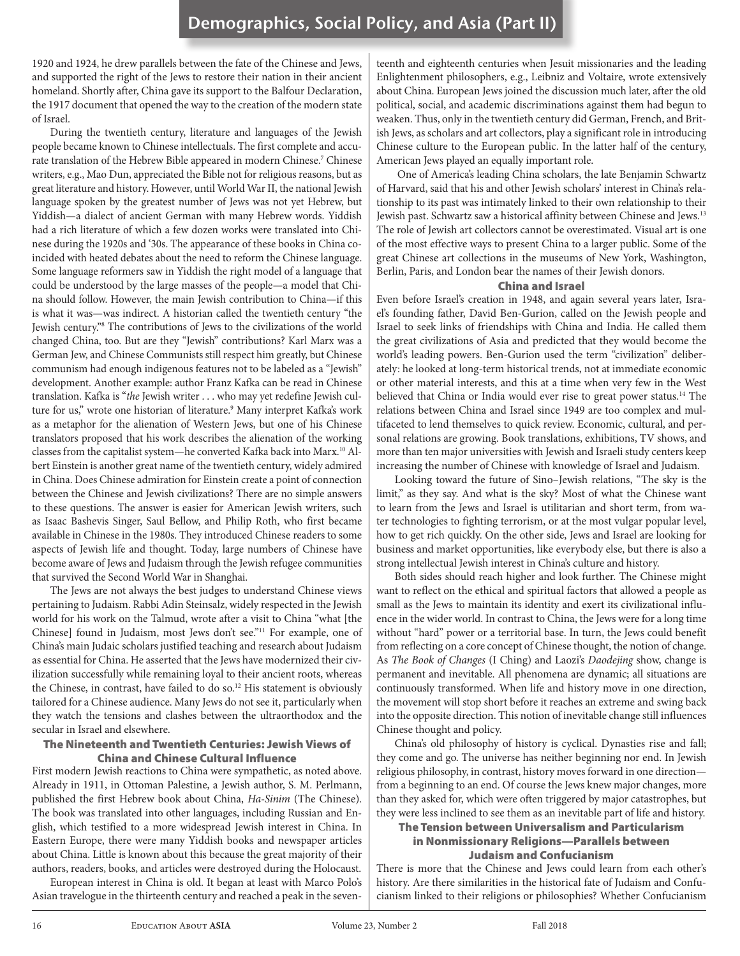1920 and 1924, he drew parallels between the fate of the Chinese and Jews, and supported the right of the Jews to restore their nation in their ancient homeland. Shortly after, China gave its support to the Balfour Declaration, the 1917 document that opened the way to the creation of the modern state of Israel.

During the twentieth century, literature and languages of the Jewish people became known to Chinese intellectuals. The first complete and accurate translation of the Hebrew Bible appeared in modern Chinese.<sup>7</sup> Chinese writers, e.g., Mao Dun, appreciated the Bible not for religious reasons, but as great literature and history. However, until World War II, the national Jewish language spoken by the greatest number of Jews was not yet Hebrew, but Yiddish—a dialect of ancient German with many Hebrew words. Yiddish had a rich literature of which a few dozen works were translated into Chinese during the 1920s and '30s. The appearance of these books in China coincided with heated debates about the need to reform the Chinese language. Some language reformers saw in Yiddish the right model of a language that could be understood by the large masses of the people—a model that China should follow. However, the main Jewish contribution to China—if this is what it was—was indirect. A historian called the twentieth century "the Jewish century."8 The contributions of Jews to the civilizations of the world changed China, too. But are they "Jewish" contributions? Karl Marx was a German Jew, and Chinese Communists still respect him greatly, but Chinese communism had enough indigenous features not to be labeled as a "Jewish" development. Another example: author Franz Kafka can be read in Chinese translation. Kafka is "*the* Jewish writer . . . who may yet redefine Jewish culture for us," wrote one historian of literature.<sup>9</sup> Many interpret Kafka's work as a metaphor for the alienation of Western Jews, but one of his Chinese translators proposed that his work describes the alienation of the working classes from the capitalist system—he converted Kafka back into Marx.<sup>10</sup> Albert Einstein is another great name of the twentieth century, widely admired in China. Does Chinese admiration for Einstein create a point of connection between the Chinese and Jewish civilizations? There are no simple answers to these questions. The answer is easier for American Jewish writers, such as Isaac Bashevis Singer, Saul Bellow, and Philip Roth, who first became available in Chinese in the 1980s. They introduced Chinese readers to some aspects of Jewish life and thought. Today, large numbers of Chinese have become aware of Jews and Judaism through the Jewish refugee communities that survived the Second World War in Shanghai.

The Jews are not always the best judges to understand Chinese views pertaining to Judaism. Rabbi Adin Steinsalz, widely respected in the Jewish world for his work on the Talmud, wrote after a visit to China "what [the Chinese] found in Judaism, most Jews don't see."11 For example, one of China's main Judaic scholars justified teaching and research about Judaism as essential for China. He asserted that the Jews have modernized their civilization successfully while remaining loyal to their ancient roots, whereas the Chinese, in contrast, have failed to do so.<sup>12</sup> His statement is obviously tailored for a Chinese audience. Many Jews do not see it, particularly when they watch the tensions and clashes between the ultraorthodox and the secular in Israel and elsewhere.

#### The Nineteenth and Twentieth Centuries: Jewish Views of China and Chinese Cultural Influence

First modern Jewish reactions to China were sympathetic, as noted above. Already in 1911, in Ottoman Palestine, a Jewish author, S. M. Perlmann, published the first Hebrew book about China, *Ha-Sinim* (The Chinese). The book was translated into other languages, including Russian and English, which testified to a more widespread Jewish interest in China. In Eastern Europe, there were many Yiddish books and newspaper articles about China. Little is known about this because the great majority of their authors, readers, books, and articles were destroyed during the Holocaust.

European interest in China is old. It began at least with Marco Polo's Asian travelogue in the thirteenth century and reached a peak in the seven-

teenth and eighteenth centuries when Jesuit missionaries and the leading Enlightenment philosophers, e.g., Leibniz and Voltaire, wrote extensively about China. European Jews joined the discussion much later, after the old political, social, and academic discriminations against them had begun to weaken. Thus, only in the twentieth century did German, French, and British Jews, as scholars and art collectors, play a significant role in introducing Chinese culture to the European public. In the latter half of the century, American Jews played an equally important role.

 One of America's leading China scholars, the late Benjamin Schwartz of Harvard, said that his and other Jewish scholars' interest in China's relationship to its past was intimately linked to their own relationship to their Jewish past. Schwartz saw a historical affinity between Chinese and Jews.13 The role of Jewish art collectors cannot be overestimated. Visual art is one of the most effective ways to present China to a larger public. Some of the great Chinese art collections in the museums of New York, Washington, Berlin, Paris, and London bear the names of their Jewish donors.

#### China and Israel

Even before Israel's creation in 1948, and again several years later, Israel's founding father, David Ben-Gurion, called on the Jewish people and Israel to seek links of friendships with China and India. He called them the great civilizations of Asia and predicted that they would become the world's leading powers. Ben-Gurion used the term "civilization" deliberately: he looked at long-term historical trends, not at immediate economic or other material interests, and this at a time when very few in the West believed that China or India would ever rise to great power status.<sup>14</sup> The relations between China and Israel since 1949 are too complex and multifaceted to lend themselves to quick review. Economic, cultural, and personal relations are growing. Book translations, exhibitions, TV shows, and more than ten major universities with Jewish and Israeli study centers keep increasing the number of Chinese with knowledge of Israel and Judaism.

Looking toward the future of Sino–Jewish relations, "The sky is the limit," as they say. And what is the sky? Most of what the Chinese want to learn from the Jews and Israel is utilitarian and short term, from water technologies to fighting terrorism, or at the most vulgar popular level, how to get rich quickly. On the other side, Jews and Israel are looking for business and market opportunities, like everybody else, but there is also a strong intellectual Jewish interest in China's culture and history.

Both sides should reach higher and look further. The Chinese might want to reflect on the ethical and spiritual factors that allowed a people as small as the Jews to maintain its identity and exert its civilizational influence in the wider world. In contrast to China, the Jews were for a long time without "hard" power or a territorial base. In turn, the Jews could benefit from reflecting on a core concept of Chinese thought, the notion of change. As *The Book of Changes* (I Ching) and Laozi's *Daodejing* show, change is permanent and inevitable. All phenomena are dynamic; all situations are continuously transformed. When life and history move in one direction, the movement will stop short before it reaches an extreme and swing back into the opposite direction. This notion of inevitable change still influences Chinese thought and policy.

China's old philosophy of history is cyclical. Dynasties rise and fall; they come and go. The universe has neither beginning nor end. In Jewish religious philosophy, in contrast, history moves forward in one direction from a beginning to an end. Of course the Jews knew major changes, more than they asked for, which were often triggered by major catastrophes, but they were less inclined to see them as an inevitable part of life and history.

#### The Tension between Universalism and Particularism in Nonmissionary Religions—Parallels between Judaism and Confucianism

There is more that the Chinese and Jews could learn from each other's history. Are there similarities in the historical fate of Judaism and Confucianism linked to their religions or philosophies? Whether Confucianism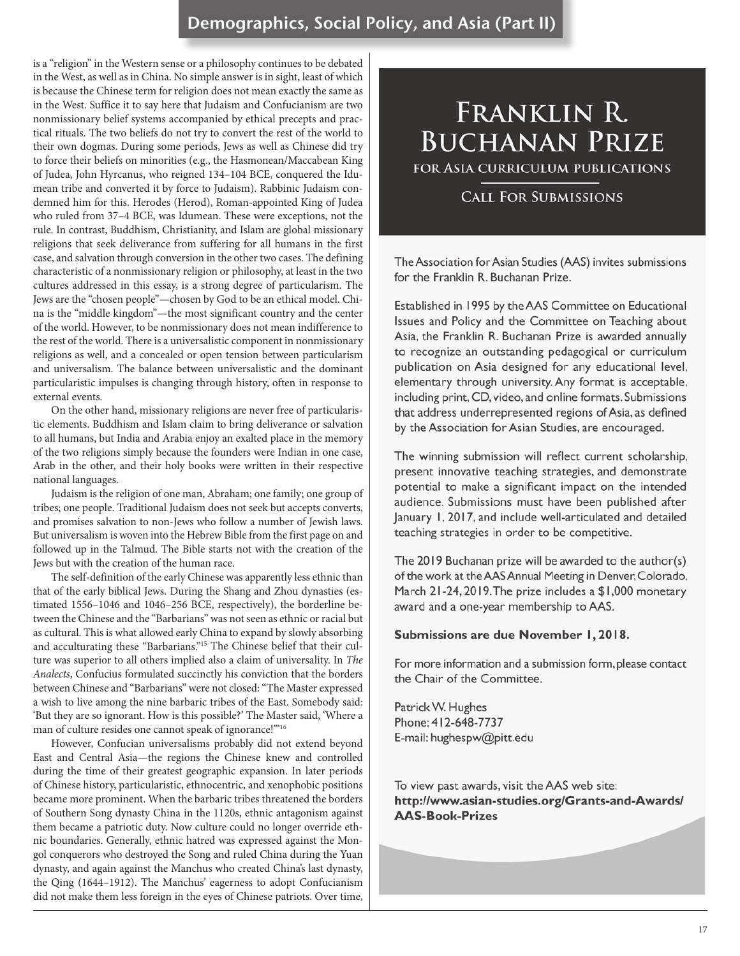### Demographics, Social Policy, and Asia (Part II)

is a "religion" in the Western sense or a philosophy continues to be debated in the West, as well as in China. No simple answer is in sight, least of which is because the Chinese term for religion does not mean exactly the same as in the West. Suffice it to say here that Judaism and Confucianism are two nonmissionary belief systems accompanied by ethical precepts and prac tical rituals. The two beliefs do not try to convert the rest of the world to their own dogmas. During some periods, Jews as well as Chinese did try to force their beliefs on minorities (e.g., the Hasmonean/Maccabean King of Judea, John Hyrcanus, who reigned 134–104 BCE, conquered the Idu mean tribe and converted it by force to Judaism). Rabbinic Judaism con demned him for this. Herodes (Herod), Roman-appointed King of Judea who ruled from 37–4 BCE, was Idumean. These were exceptions, not the rule. In contrast, Buddhism, Christianity, and Islam are global missionary religions that seek deliverance from suffering for all humans in the first case, and salvation through conversion in the other two cases. The defining characteristic of a nonmissionary religion or philosophy, at least in the two cultures addressed in this essay, is a strong degree of particularism. The Jews are the "chosen people"—chosen by God to be an ethical model. Chi na is the "middle kingdom"—the most significant country and the center of the world. However, to be nonmissionary does not mean indifference to the rest of the world. There is a universalistic component in nonmissionary religions as well, and a concealed or open tension between particularism and universalism. The balance between universalistic and the dominant particularistic impulses is changing through history, often in response to external events.

On the other hand, missionary religions are never free of particularis tic elements. Buddhism and Islam claim to bring deliverance or salvation to all humans, but India and Arabia enjoy an exalted place in the memory of the two religions simply because the founders were Indian in one case, Arab in the other, and their holy books were written in their respective national languages.

Judaism is the religion of one man, Abraham; one family; one group of tribes; one people. Traditional Judaism does not seek but accepts converts, and promises salvation to non-Jews who follow a number of Jewish laws. But universalism is woven into the Hebrew Bible from the first page on and followed up in the Talmud. The Bible starts not with the creation of the Jews but with the creation of the human race.

The self-definition of the early Chinese was apparently less ethnic than that of the early biblical Jews. During the Shang and Zhou dynasties (es timated 1556–1046 and 1046–256 BCE, respectively), the borderline be tween the Chinese and the "Barbarians" was not seen as ethnic or racial but as cultural. This is what allowed early China to expand by slowly absorbing and acculturating these "Barbarians."<sup>15</sup> The Chinese belief that their culture was superior to all others implied also a claim of universality. In *The Analects*, Confucius formulated succinctly his conviction that the borders between Chinese and "Barbarians" were not closed: "The Master expressed a wish to live among the nine barbaric tribes of the East. Somebody said: 'But they are so ignorant. How is this possible?' The Master said, 'Where a man of culture resides one cannot speak of ignorance!"<sup>16</sup>

However, Confucian universalisms probably did not extend beyond East and Central Asia—the regions the Chinese knew and controlled during the time of their greatest geographic expansion. In later periods of Chinese history, particularistic, ethnocentric, and xenophobic positions became more prominent. When the barbaric tribes threatened the borders of Southern Song dynasty China in the 1120s, ethnic antagonism against them became a patriotic duty. Now culture could no longer override eth nic boundaries. Generally, ethnic hatred was expressed against the Mon gol conquerors who destroyed the Song and ruled China during the Yuan dynasty, and again against the Manchus who created China's last dynasty, the Qing (1644–1912). The Manchus' eagerness to adopt Confucianism did not make them less foreign in the eyes of Chinese patriots. Over time,

# **FRANKLIN R. BUCHANAN PRIZE**

FOR ASIA CURRICULUM PUBLICATIONS

### **CALL FOR SUBMISSIONS**

The Association for Asian Studies (AAS) invites submissions for the Franklin R. Buchanan Prize.

Established in 1995 by the AAS Committee on Educational Issues and Policy and the Committee on Teaching about Asia, the Franklin R. Buchanan Prize is awarded annually to recognize an outstanding pedagogical or curriculum publication on Asia designed for any educational level, elementary through university. Any format is acceptable, including print, CD, video, and online formats. Submissions that address underrepresented regions of Asia, as defined by the Association for Asian Studies, are encouraged.

The winning submission will reflect current scholarship, present innovative teaching strategies, and demonstrate potential to make a significant impact on the intended audience. Submissions must have been published after January 1, 2017, and include well-articulated and detailed teaching strategies in order to be competitive.

The 2019 Buchanan prize will be awarded to the author(s) of the work at the AAS Annual Meeting in Denver, Colorado, March 21-24, 2019. The prize includes a \$1,000 monetary award and a one-year membership to AAS.

#### Submissions are due November 1, 2018.

For more information and a submission form, please contact the Chair of the Committee.

Patrick W. Hughes Phone: 412-648-7737 E-mail: hughespw@pitt.edu

To view past awards, visit the AAS web site: http://www.asian-studies.org/Grants-and-Awards/ **AAS-Book-Prizes**